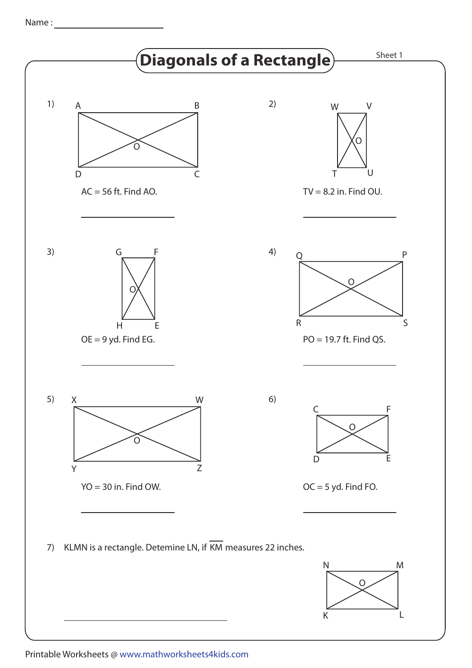